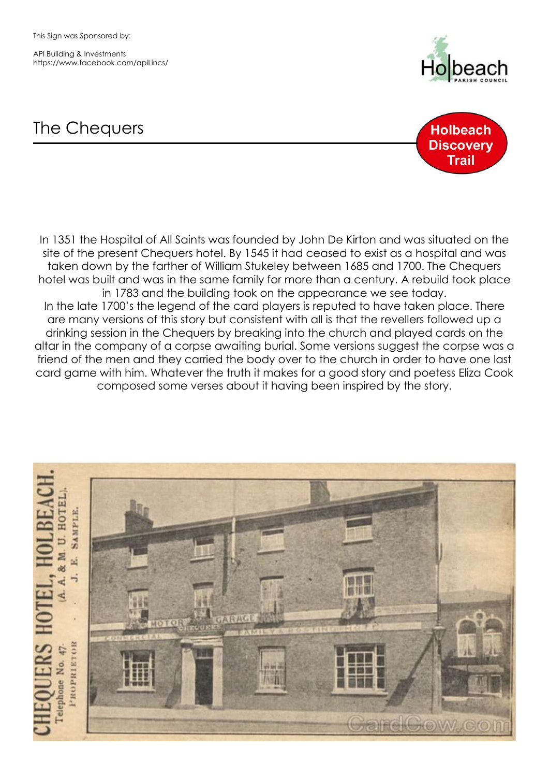API Building & Investments https://www.facebook.com/apiLincs/



## The Chequers



In 1351 the Hospital of All Saints was founded by John De Kirton and was situated on the site of the present Chequers hotel. By 1545 it had ceased to exist as a hospital and was taken down by the farther of William Stukeley between 1685 and 1700. The Chequers hotel was built and was in the same family for more than a century. A rebuild took place in 1783 and the building took on the appearance we see today. In the late 1700's the legend of the card players is reputed to have taken place. There are many versions of this story but consistent with all is that the revellers followed up a drinking session in the Chequers by breaking into the church and played cards on the altar in the company of a corpse awaiting burial. Some versions suggest the corpse was a friend of the men and they carried the body over to the church in order to have one last card game with him. Whatever the truth it makes for a good story and poetess Eliza Cook composed some verses about it having been inspired by the story.